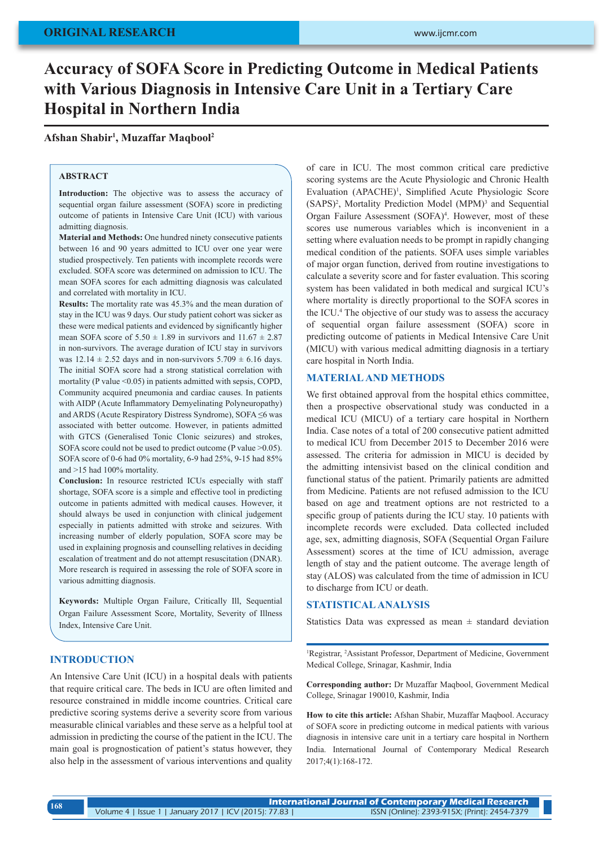# **Accuracy of SOFA Score in Predicting Outcome in Medical Patients with Various Diagnosis in Intensive Care Unit in a Tertiary Care Hospital in Northern India**

**Afshan Shabir1 , Muzaffar Maqbool2**

## **ABSTRACT**

**Introduction:** The objective was to assess the accuracy of sequential organ failure assessment (SOFA) score in predicting outcome of patients in Intensive Care Unit (ICU) with various admitting diagnosis.

**Material and Methods:** One hundred ninety consecutive patients between 16 and 90 years admitted to ICU over one year were studied prospectively. Ten patients with incomplete records were excluded. SOFA score was determined on admission to ICU. The mean SOFA scores for each admitting diagnosis was calculated and correlated with mortality in ICU.

**Results:** The mortality rate was 45.3% and the mean duration of stay in the ICU was 9 days. Our study patient cohort was sicker as these were medical patients and evidenced by significantly higher mean SOFA score of  $5.50 \pm 1.89$  in survivors and  $11.67 \pm 2.87$ in non-survivors. The average duration of ICU stay in survivors was  $12.14 \pm 2.52$  days and in non-survivors  $5.709 \pm 6.16$  days. The initial SOFA score had a strong statistical correlation with mortality (P value  $\leq 0.05$ ) in patients admitted with sepsis, COPD, Community acquired pneumonia and cardiac causes. In patients with AIDP (Acute Inflammatory Demyelinating Polyneuropathy) and ARDS (Acute Respiratory Distress Syndrome), SOFA ≤6 was associated with better outcome. However, in patients admitted with GTCS (Generalised Tonic Clonic seizures) and strokes, SOFA score could not be used to predict outcome (P value >0.05). SOFA score of 0-6 had 0% mortality, 6-9 had 25%, 9-15 had 85% and >15 had 100% mortality.

**Conclusion:** In resource restricted ICUs especially with staff shortage, SOFA score is a simple and effective tool in predicting outcome in patients admitted with medical causes. However, it should always be used in conjunction with clinical judgement especially in patients admitted with stroke and seizures. With increasing number of elderly population, SOFA score may be used in explaining prognosis and counselling relatives in deciding escalation of treatment and do not attempt resuscitation (DNAR). More research is required in assessing the role of SOFA score in various admitting diagnosis.

**Keywords:** Multiple Organ Failure, Critically Ill, Sequential Organ Failure Assessment Score, Mortality, Severity of Illness Index, Intensive Care Unit.

## **INTRODUCTION**

An Intensive Care Unit (ICU) in a hospital deals with patients that require critical care. The beds in ICU are often limited and resource constrained in middle income countries. Critical care predictive scoring systems derive a severity score from various measurable clinical variables and these serve as a helpful tool at admission in predicting the course of the patient in the ICU. The main goal is prognostication of patient's status however, they also help in the assessment of various interventions and quality of care in ICU. The most common critical care predictive scoring systems are the Acute Physiologic and Chronic Health Evaluation (APACHE)<sup>1</sup>, Simplified Acute Physiologic Score (SAPS)<sup>2</sup>, Mortality Prediction Model (MPM)<sup>3</sup> and Sequential Organ Failure Assessment (SOFA)<sup>4</sup>. However, most of these scores use numerous variables which is inconvenient in a setting where evaluation needs to be prompt in rapidly changing medical condition of the patients. SOFA uses simple variables of major organ function, derived from routine investigations to calculate a severity score and for faster evaluation. This scoring system has been validated in both medical and surgical ICU's where mortality is directly proportional to the SOFA scores in the ICU.4 The objective of our study was to assess the accuracy of sequential organ failure assessment (SOFA) score in predicting outcome of patients in Medical Intensive Care Unit (MICU) with various medical admitting diagnosis in a tertiary care hospital in North India.

### **MATERIAL AND METHODS**

We first obtained approval from the hospital ethics committee, then a prospective observational study was conducted in a medical ICU (MICU) of a tertiary care hospital in Northern India. Case notes of a total of 200 consecutive patient admitted to medical ICU from December 2015 to December 2016 were assessed. The criteria for admission in MICU is decided by the admitting intensivist based on the clinical condition and functional status of the patient. Primarily patients are admitted from Medicine. Patients are not refused admission to the ICU based on age and treatment options are not restricted to a specific group of patients during the ICU stay. 10 patients with incomplete records were excluded. Data collected included age, sex, admitting diagnosis, SOFA (Sequential Organ Failure Assessment) scores at the time of ICU admission, average length of stay and the patient outcome. The average length of stay (ALOS) was calculated from the time of admission in ICU to discharge from ICU or death.

## **STATISTICAL ANALYSIS**

Statistics Data was expressed as mean  $\pm$  standard deviation

1 Registrar, 2 Assistant Professor, Department of Medicine, Government Medical College, Srinagar, Kashmir, India

**Corresponding author:** Dr Muzaffar Maqbool, Government Medical College, Srinagar 190010, Kashmir, India

**How to cite this article:** Afshan Shabir, Muzaffar Maqbool. Accuracy of SOFA score in predicting outcome in medical patients with various diagnosis in intensive care unit in a tertiary care hospital in Northern India. International Journal of Contemporary Medical Research 2017;4(1):168-172.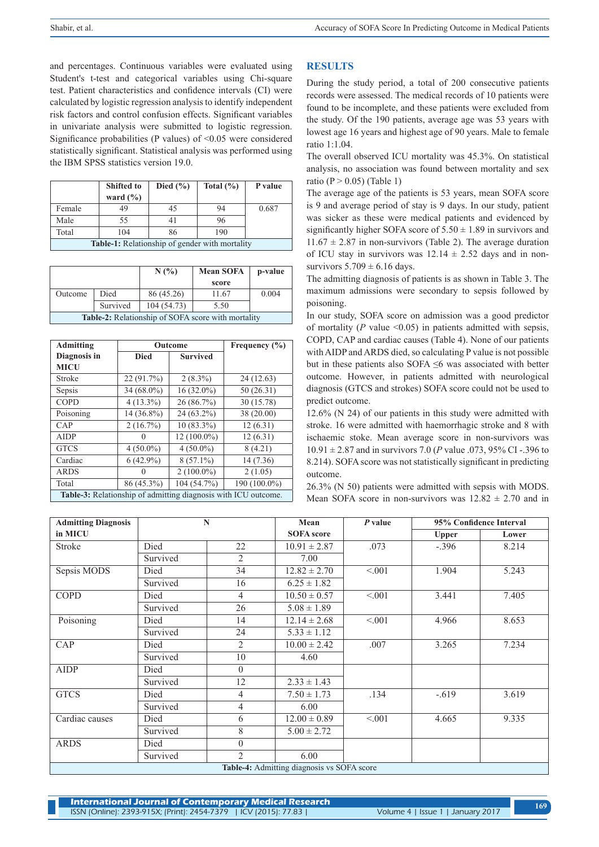and percentages. Continuous variables were evaluated using Student's t-test and categorical variables using Chi-square test. Patient characteristics and confidence intervals (CI) were calculated by logistic regression analysis to identify independent risk factors and control confusion effects. Significant variables in univariate analysis were submitted to logistic regression. Significance probabilities (P values) of  $\leq 0.05$  were considered statistically significant. Statistical analysis was performed using the IBM SPSS statistics version 19.0.

|                                                       | <b>Shifted to</b><br>ward $(\% )$ | Died $(\% )$ | Total $(\% )$ | P value |
|-------------------------------------------------------|-----------------------------------|--------------|---------------|---------|
| Female                                                | 49                                | 45           | 94            | 0.687   |
| Male                                                  | 55                                | 41           | 96            |         |
| Total                                                 | 104                               | 86           | 190           |         |
| <b>Table-1:</b> Relationship of gender with mortality |                                   |              |               |         |

|                                                           |          | N(%)        | <b>Mean SOFA</b><br>score | p-value |  |
|-----------------------------------------------------------|----------|-------------|---------------------------|---------|--|
| Outcome                                                   | Died     | 86 (45.26)  | 11.67                     | 0.004   |  |
|                                                           | Survived | 104 (54.73) | 5.50                      |         |  |
| <b>Table-2:</b> Relationship of SOFA score with mortality |          |             |                           |         |  |

| <b>Admitting</b>                                               | Outcome     |                 | Frequency (%) |  |
|----------------------------------------------------------------|-------------|-----------------|---------------|--|
| Diagnosis in                                                   | <b>Died</b> | <b>Survived</b> |               |  |
| <b>MICU</b>                                                    |             |                 |               |  |
| Stroke                                                         | 22 (91.7%)  | $2(8.3\%)$      | 24(12.63)     |  |
| Sepsis                                                         | 34 (68.0%)  | $16(32.0\%)$    | 50(26.31)     |  |
| <b>COPD</b>                                                    | $4(13.3\%)$ | 26 (86.7%)      | 30 (15.78)    |  |
| Poisoning                                                      | 14 (36.8%)  | 24 (63.2%)      | 38 (20.00)    |  |
| CAP                                                            | $2(16.7\%)$ | $10(83.3\%)$    | 12(6.31)      |  |
| <b>AIDP</b>                                                    |             | $12(100.0\%)$   | 12(6.31)      |  |
| <b>GTCS</b>                                                    | $4(50.0\%)$ | $4(50.0\%)$     | 8(4.21)       |  |
| Cardiac                                                        | $6(42.9\%)$ | $8(57.1\%)$     | 14 (7.36)     |  |
| ARDS                                                           |             | $2(100.0\%)$    | 2(1.05)       |  |
| Total                                                          | 86 (45.3%)  | 104 (54.7%)     | 190 (100.0%)  |  |
| Table-3: Relationship of admitting diagnosis with ICU outcome. |             |                 |               |  |

### **RESULTS**

During the study period, a total of 200 consecutive patients records were assessed. The medical records of 10 patients were found to be incomplete, and these patients were excluded from the study. Of the 190 patients, average age was 53 years with lowest age 16 years and highest age of 90 years. Male to female ratio 1:1.04.

The overall observed ICU mortality was 45.3%. On statistical analysis, no association was found between mortality and sex ratio ( $P > 0.05$ ) (Table 1)

The average age of the patients is 53 years, mean SOFA score is 9 and average period of stay is 9 days. In our study, patient was sicker as these were medical patients and evidenced by significantly higher SOFA score of  $5.50 \pm 1.89$  in survivors and  $11.67 \pm 2.87$  in non-survivors (Table 2). The average duration of ICU stay in survivors was  $12.14 \pm 2.52$  days and in nonsurvivors  $5.709 \pm 6.16$  days.

The admitting diagnosis of patients is as shown in Table 3. The maximum admissions were secondary to sepsis followed by poisoning.

In our study, SOFA score on admission was a good predictor of mortality ( $P$  value  $\leq 0.05$ ) in patients admitted with sepsis, COPD, CAP and cardiac causes (Table 4). None of our patients with AIDP and ARDS died, so calculating P value is not possible but in these patients also SOFA ≤6 was associated with better outcome. However, in patients admitted with neurological diagnosis (GTCS and strokes) SOFA score could not be used to predict outcome.

12.6% (N 24) of our patients in this study were admitted with stroke. 16 were admitted with haemorrhagic stroke and 8 with ischaemic stoke. Mean average score in non-survivors was 10.91 ± 2.87 and in survivors 7.0 (*P* value .073, 95% CI -.396 to 8.214). SOFA score was not statistically significant in predicting outcome.

26.3% (N 50) patients were admitted with sepsis with MODS. Mean SOFA score in non-survivors was  $12.82 \pm 2.70$  and in

| <b>Admitting Diagnosis</b>                 | $\mathbf N$ |                | Mean              | $P$ value | 95% Confidence Interval |       |
|--------------------------------------------|-------------|----------------|-------------------|-----------|-------------------------|-------|
| in MICU                                    |             |                | <b>SOFA</b> score |           | <b>Upper</b>            | Lower |
| Stroke                                     | Died        | 22             | $10.91 \pm 2.87$  | .073      | $-.396$                 | 8.214 |
|                                            | Survived    | 2              | 7.00              |           |                         |       |
| Sepsis MODS                                | Died        | 34             | $12.82 \pm 2.70$  | < 0.01    | 1.904                   | 5.243 |
|                                            | Survived    | 16             | $6.25 \pm 1.82$   |           |                         |       |
| <b>COPD</b>                                | Died        | $\overline{4}$ | $10.50 \pm 0.57$  | < 0.01    | 3.441                   | 7.405 |
|                                            | Survived    | 26             | $5.08 \pm 1.89$   |           |                         |       |
| Poisoning                                  | Died        | 14             | $12.14 \pm 2.68$  | < 0.01    | 4.966                   | 8.653 |
|                                            | Survived    | 24             | $5.33 \pm 1.12$   |           |                         |       |
| CAP                                        | Died        | $\overline{2}$ | $10.00 \pm 2.42$  | .007      | 3.265                   | 7.234 |
|                                            | Survived    | 10             | 4.60              |           |                         |       |
| <b>AIDP</b>                                | Died        | $\theta$       |                   |           |                         |       |
|                                            | Survived    | 12             | $2.33 \pm 1.43$   |           |                         |       |
| <b>GTCS</b>                                | Died        | $\overline{4}$ | $7.50 \pm 1.73$   | .134      | $-.619$                 | 3.619 |
|                                            | Survived    | 4              | 6.00              |           |                         |       |
| Cardiac causes                             | Died        | 6              | $12.00 \pm 0.89$  | < 0.01    | 4.665                   | 9.335 |
|                                            | Survived    | 8              | $5.00 \pm 2.72$   |           |                         |       |
| <b>ARDS</b>                                | Died        | $\theta$       |                   |           |                         |       |
|                                            | Survived    | $\overline{2}$ | 6.00              |           |                         |       |
| Table-4: Admitting diagnosis vs SOFA score |             |                |                   |           |                         |       |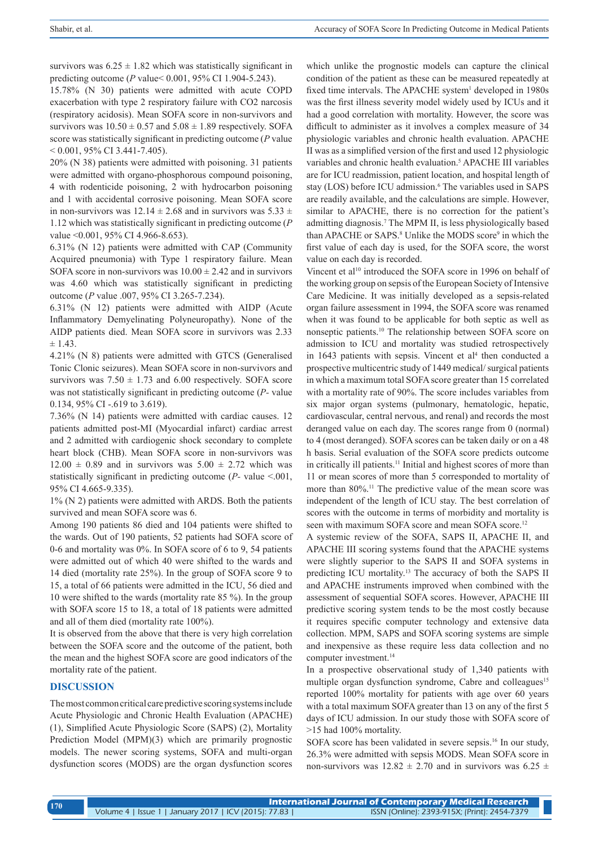survivors was  $6.25 \pm 1.82$  which was statistically significant in predicting outcome (*P* value< 0.001, 95% CI 1.904-5.243).

15.78% (N 30) patients were admitted with acute COPD exacerbation with type 2 respiratory failure with CO2 narcosis (respiratory acidosis). Mean SOFA score in non-survivors and survivors was  $10.50 \pm 0.57$  and  $5.08 \pm 1.89$  respectively. SOFA score was statistically significant in predicting outcome (*P* value  $< 0.001$ , 95% CI 3.441-7.405).

20% (N 38) patients were admitted with poisoning. 31 patients were admitted with organo-phosphorous compound poisoning, 4 with rodenticide poisoning, 2 with hydrocarbon poisoning and 1 with accidental corrosive poisoning. Mean SOFA score in non-survivors was  $12.14 \pm 2.68$  and in survivors was  $5.33 \pm$ 1.12 which was statistically significant in predicting outcome (*P* value < 0.001, 95% CI 4.966-8.653).

6.31% (N 12) patients were admitted with CAP (Community Acquired pneumonia) with Type 1 respiratory failure. Mean SOFA score in non-survivors was  $10.00 \pm 2.42$  and in survivors was 4.60 which was statistically significant in predicting outcome (*P* value .007, 95% CI 3.265-7.234).

6.31% (N 12) patients were admitted with AIDP (Acute Inflammatory Demyelinating Polyneuropathy). None of the AIDP patients died. Mean SOFA score in survivors was 2.33  $± 1.43.$ 

4.21% (N 8) patients were admitted with GTCS (Generalised Tonic Clonic seizures). Mean SOFA score in non-survivors and survivors was  $7.50 \pm 1.73$  and  $6.00$  respectively. SOFA score was not statistically significant in predicting outcome (*P-* value 0.134, 95% CI-.619 to 3.619).

7.36% (N 14) patients were admitted with cardiac causes. 12 patients admitted post-MI (Myocardial infarct) cardiac arrest and 2 admitted with cardiogenic shock secondary to complete heart block (CHB). Mean SOFA score in non-survivors was  $12.00 \pm 0.89$  and in survivors was  $5.00 \pm 2.72$  which was statistically significant in predicting outcome  $(P-$  value  $\leq 0.01$ , 95% CI 4.665-9.335).

1% (N 2) patients were admitted with ARDS. Both the patients survived and mean SOFA score was 6.

Among 190 patients 86 died and 104 patients were shifted to the wards. Out of 190 patients, 52 patients had SOFA score of 0-6 and mortality was 0%. In SOFA score of 6 to 9, 54 patients were admitted out of which 40 were shifted to the wards and 14 died (mortality rate 25%). In the group of SOFA score 9 to 15, a total of 66 patients were admitted in the ICU, 56 died and 10 were shifted to the wards (mortality rate 85 %). In the group with SOFA score 15 to 18, a total of 18 patients were admitted and all of them died (mortality rate 100%).

It is observed from the above that there is very high correlation between the SOFA score and the outcome of the patient, both the mean and the highest SOFA score are good indicators of the mortality rate of the patient.

## **DISCUSSION**

The most common critical care predictive scoring systems include Acute Physiologic and Chronic Health Evaluation (APACHE) (1), Simplified Acute Physiologic Score (SAPS) (2), Mortality Prediction Model (MPM)(3) which are primarily prognostic models. The newer scoring systems, SOFA and multi-organ dysfunction scores (MODS) are the organ dysfunction scores which unlike the prognostic models can capture the clinical condition of the patient as these can be measured repeatedly at fixed time intervals. The APACHE system<sup>1</sup> developed in 1980s was the first illness severity model widely used by ICUs and it had a good correlation with mortality. However, the score was difficult to administer as it involves a complex measure of 34 physiologic variables and chronic health evaluation. APACHE II was as a simplified version of the first and used 12 physiologic variables and chronic health evaluation.<sup>5</sup> APACHE III variables are for ICU readmission, patient location, and hospital length of stay (LOS) before ICU admission.<sup>6</sup> The variables used in SAPS are readily available, and the calculations are simple. However, similar to APACHE, there is no correction for the patient's admitting diagnosis.7 The MPM II, is less physiologically based than APACHE or SAPS.<sup>8</sup> Unlike the MODS score<sup>9</sup> in which the first value of each day is used, for the SOFA score, the worst value on each day is recorded.

Vincent et al<sup>10</sup> introduced the SOFA score in 1996 on behalf of the working group on sepsis of the European Society of Intensive Care Medicine. It was initially developed as a sepsis-related organ failure assessment in 1994, the SOFA score was renamed when it was found to be applicable for both septic as well as nonseptic patients.10 The relationship between SOFA score on admission to ICU and mortality was studied retrospectively in  $1643$  patients with sepsis. Vincent et  $al<sup>4</sup>$  then conducted a prospective multicentric study of 1449 medical/ surgical patients in which a maximum total SOFA score greater than 15 correlated with a mortality rate of 90%. The score includes variables from six major organ systems (pulmonary, hematologic, hepatic, cardiovascular, central nervous, and renal) and records the most deranged value on each day. The scores range from 0 (normal) to 4 (most deranged). SOFA scores can be taken daily or on a 48 h basis. Serial evaluation of the SOFA score predicts outcome in critically ill patients.<sup>11</sup> Initial and highest scores of more than 11 or mean scores of more than 5 corresponded to mortality of more than 80%.<sup>11</sup> The predictive value of the mean score was independent of the length of ICU stay. The best correlation of scores with the outcome in terms of morbidity and mortality is seen with maximum SOFA score and mean SOFA score.<sup>12</sup>

A systemic review of the SOFA, SAPS II, APACHE II, and APACHE III scoring systems found that the APACHE systems were slightly superior to the SAPS II and SOFA systems in predicting ICU mortality.13 The accuracy of both the SAPS II and APACHE instruments improved when combined with the assessment of sequential SOFA scores. However, APACHE III predictive scoring system tends to be the most costly because it requires specific computer technology and extensive data collection. MPM, SAPS and SOFA scoring systems are simple and inexpensive as these require less data collection and no computer investment.<sup>14</sup>

In a prospective observational study of 1,340 patients with multiple organ dysfunction syndrome, Cabre and colleagues<sup>15</sup> reported 100% mortality for patients with age over 60 years with a total maximum SOFA greater than 13 on any of the first 5 days of ICU admission. In our study those with SOFA score of >15 had 100% mortality.

SOFA score has been validated in severe sepsis.<sup>16</sup> In our study, 26.3% were admitted with sepsis MODS. Mean SOFA score in non-survivors was  $12.82 \pm 2.70$  and in survivors was  $6.25 \pm 1.6$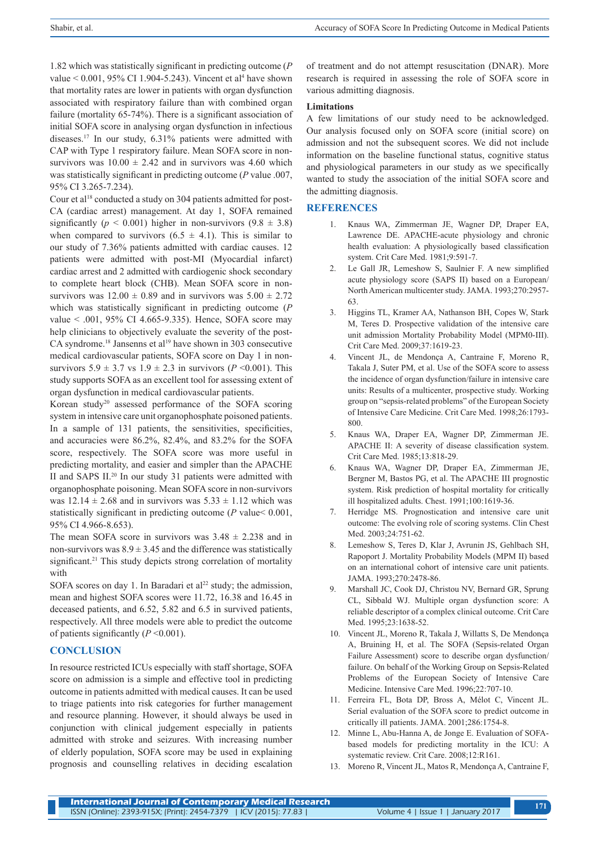1.82 which was statistically significant in predicting outcome (*P* value  $< 0.001$ , 95% CI 1.904-5.243). Vincent et al<sup>4</sup> have shown that mortality rates are lower in patients with organ dysfunction associated with respiratory failure than with combined organ failure (mortality 65-74%). There is a significant association of initial SOFA score in analysing organ dysfunction in infectious diseases.17 In our study, 6.31% patients were admitted with CAP with Type 1 respiratory failure. Mean SOFA score in nonsurvivors was  $10.00 \pm 2.42$  and in survivors was 4.60 which was statistically significant in predicting outcome (*P* value .007, 95% CI 3.265-7.234).

Cour et al<sup>18</sup> conducted a study on 304 patients admitted for post-CA (cardiac arrest) management. At day 1, SOFA remained significantly ( $p < 0.001$ ) higher in non-survivors ( $9.8 \pm 3.8$ ) when compared to survivors  $(6.5 \pm 4.1)$ . This is similar to our study of 7.36% patients admitted with cardiac causes. 12 patients were admitted with post-MI (Myocardial infarct) cardiac arrest and 2 admitted with cardiogenic shock secondary to complete heart block (CHB). Mean SOFA score in nonsurvivors was  $12.00 \pm 0.89$  and in survivors was  $5.00 \pm 2.72$ which was statistically significant in predicting outcome (*P* value < .001, 95% CI 4.665-9.335). Hence, SOFA score may help clinicians to objectively evaluate the severity of the post-CA syndrome.<sup>18</sup> Jansenns et al<sup>19</sup> have shown in 303 consecutive medical cardiovascular patients, SOFA score on Day 1 in nonsurvivors  $5.9 \pm 3.7$  vs  $1.9 \pm 2.3$  in survivors ( $P \le 0.001$ ). This study supports SOFA as an excellent tool for assessing extent of organ dysfunction in medical cardiovascular patients.

Korean study20 assessed performance of the SOFA scoring system in intensive care unit organophosphate poisoned patients. In a sample of 131 patients, the sensitivities, specificities, and accuracies were 86.2%, 82.4%, and 83.2% for the SOFA score, respectively. The SOFA score was more useful in predicting mortality, and easier and simpler than the APACHE II and SAPS II.20 In our study 31 patients were admitted with organophosphate poisoning. Mean SOFA score in non-survivors was  $12.14 \pm 2.68$  and in survivors was  $5.33 \pm 1.12$  which was statistically significant in predicting outcome (*P* value< 0.001, 95% CI 4.966-8.653).

The mean SOFA score in survivors was  $3.48 \pm 2.238$  and in non-survivors was  $8.9 \pm 3.45$  and the difference was statistically significant.<sup>21</sup> This study depicts strong correlation of mortality with

SOFA scores on day 1. In Baradari et al<sup>22</sup> study; the admission, mean and highest SOFA scores were 11.72, 16.38 and 16.45 in deceased patients, and 6.52, 5.82 and 6.5 in survived patients, respectively. All three models were able to predict the outcome of patients significantly  $(P \le 0.001)$ .

#### **CONCLUSION**

In resource restricted ICUs especially with staff shortage, SOFA score on admission is a simple and effective tool in predicting outcome in patients admitted with medical causes. It can be used to triage patients into risk categories for further management and resource planning. However, it should always be used in conjunction with clinical judgement especially in patients admitted with stroke and seizures. With increasing number of elderly population, SOFA score may be used in explaining prognosis and counselling relatives in deciding escalation of treatment and do not attempt resuscitation (DNAR). More research is required in assessing the role of SOFA score in various admitting diagnosis.

#### **Limitations**

A few limitations of our study need to be acknowledged. Our analysis focused only on SOFA score (initial score) on admission and not the subsequent scores. We did not include information on the baseline functional status, cognitive status and physiological parameters in our study as we specifically wanted to study the association of the initial SOFA score and the admitting diagnosis.

#### **REFERENCES**

- 1. Knaus WA, Zimmerman JE, Wagner DP, Draper EA, Lawrence DE. APACHE-acute physiology and chronic health evaluation: A physiologically based classification system. Crit Care Med. 1981;9:591-7.
- 2. Le Gall JR, Lemeshow S, Saulnier F. A new simplified acute physiology score (SAPS II) based on a European/ North American multicenter study. JAMA. 1993;270:2957- 63.
- 3. Higgins TL, Kramer AA, Nathanson BH, Copes W, Stark M, Teres D. Prospective validation of the intensive care unit admission Mortality Probability Model (MPM0-III). Crit Care Med. 2009;37:1619-23.
- 4. Vincent JL, de Mendonça A, Cantraine F, Moreno R, Takala J, Suter PM, et al. Use of the SOFA score to assess the incidence of organ dysfunction/failure in intensive care units: Results of a multicenter, prospective study. Working group on "sepsis-related problems" of the European Society of Intensive Care Medicine. Crit Care Med. 1998;26:1793- 800.
- 5. Knaus WA, Draper EA, Wagner DP, Zimmerman JE. APACHE II: A severity of disease classification system. Crit Care Med. 1985;13:818-29.
- 6. Knaus WA, Wagner DP, Draper EA, Zimmerman JE, Bergner M, Bastos PG, et al. The APACHE III prognostic system. Risk prediction of hospital mortality for critically ill hospitalized adults. Chest. 1991;100:1619-36.
- 7. Herridge MS. Prognostication and intensive care unit outcome: The evolving role of scoring systems. Clin Chest Med. 2003;24:751-62.
- 8. Lemeshow S, Teres D, Klar J, Avrunin JS, Gehlbach SH, Rapoport J. Mortality Probability Models (MPM II) based on an international cohort of intensive care unit patients. JAMA. 1993;270:2478-86.
- 9. Marshall JC, Cook DJ, Christou NV, Bernard GR, Sprung CL, Sibbald WJ. Multiple organ dysfunction score: A reliable descriptor of a complex clinical outcome. Crit Care Med. 1995;23:1638-52.
- 10. Vincent JL, Moreno R, Takala J, Willatts S, De Mendonça A, Bruining H, et al. The SOFA (Sepsis-related Organ Failure Assessment) score to describe organ dysfunction/ failure. On behalf of the Working Group on Sepsis-Related Problems of the European Society of Intensive Care Medicine. Intensive Care Med. 1996;22:707-10.
- 11. Ferreira FL, Bota DP, Bross A, Mélot C, Vincent JL. Serial evaluation of the SOFA score to predict outcome in critically ill patients. JAMA. 2001;286:1754-8.
- 12. Minne L, Abu-Hanna A, de Jonge E. Evaluation of SOFAbased models for predicting mortality in the ICU: A systematic review. Crit Care. 2008;12:R161.
- 13. Moreno R, Vincent JL, Matos R, Mendonça A, Cantraine F,